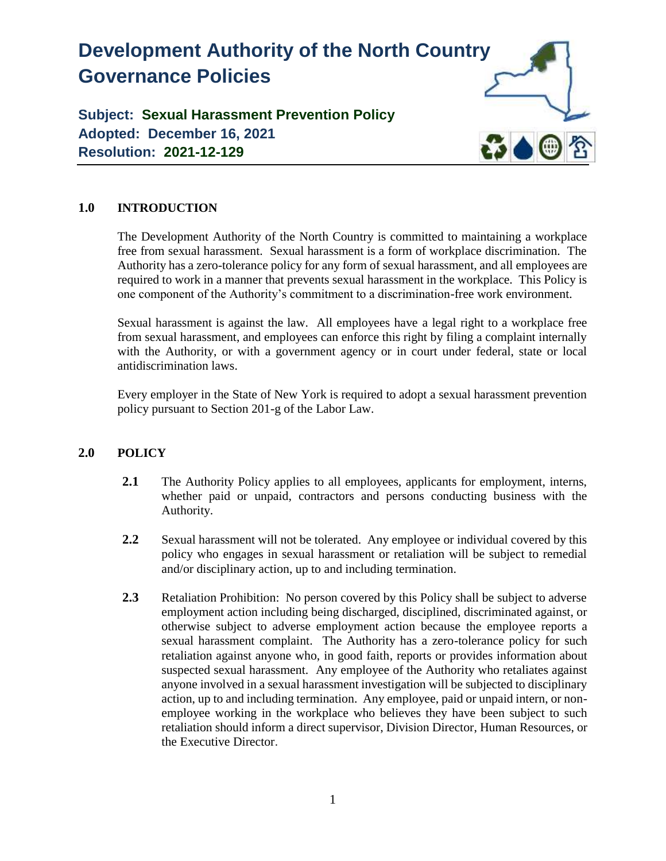

# **1.0 INTRODUCTION**

The Development Authority of the North Country is committed to maintaining a workplace free from sexual harassment. Sexual harassment is a form of workplace discrimination. The Authority has a zero-tolerance policy for any form of sexual harassment, and all employees are required to work in a manner that prevents sexual harassment in the workplace. This Policy is one component of the Authority's commitment to a discrimination-free work environment.

Sexual harassment is against the law. All employees have a legal right to a workplace free from sexual harassment, and employees can enforce this right by filing a complaint internally with the Authority, or with a government agency or in court under federal, state or local antidiscrimination laws.

Every employer in the State of New York is required to adopt a sexual harassment prevention policy pursuant to Section 201-g of the Labor Law.

#### **2.0 POLICY**

- 2.1 The Authority Policy applies to all employees, applicants for employment, interns, whether paid or unpaid, contractors and persons conducting business with the Authority.
- **2.2** Sexual harassment will not be tolerated. Any employee or individual covered by this policy who engages in sexual harassment or retaliation will be subject to remedial and/or disciplinary action, up to and including termination.
- **2.3** Retaliation Prohibition: No person covered by this Policy shall be subject to adverse employment action including being discharged, disciplined, discriminated against, or otherwise subject to adverse employment action because the employee reports a sexual harassment complaint. The Authority has a zero-tolerance policy for such retaliation against anyone who, in good faith, reports or provides information about suspected sexual harassment. Any employee of the Authority who retaliates against anyone involved in a sexual harassment investigation will be subjected to disciplinary action, up to and including termination. Any employee, paid or unpaid intern, or nonemployee working in the workplace who believes they have been subject to such retaliation should inform a direct supervisor, Division Director, Human Resources, or the Executive Director.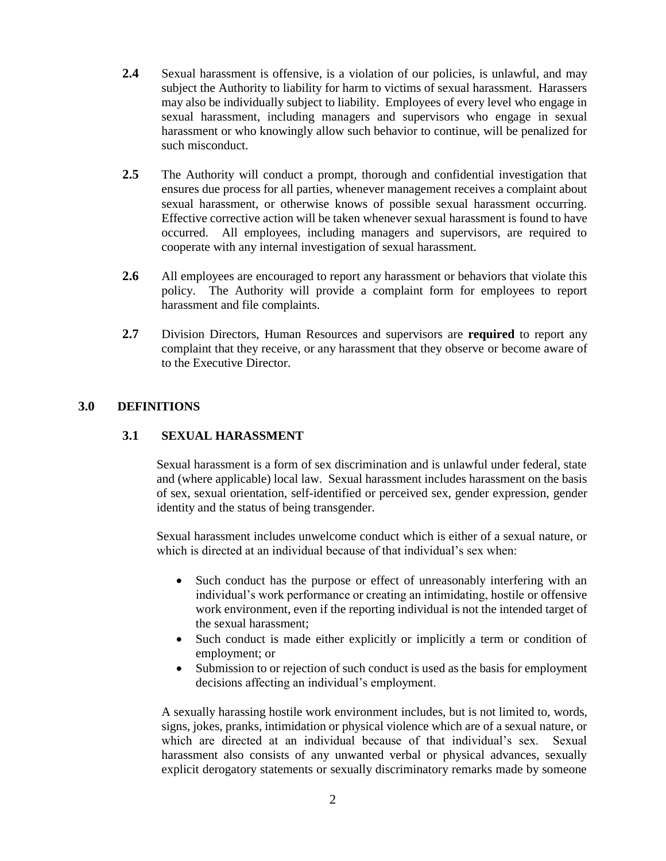- **2.4** Sexual harassment is offensive, is a violation of our policies, is unlawful, and may subject the Authority to liability for harm to victims of sexual harassment. Harassers may also be individually subject to liability. Employees of every level who engage in sexual harassment, including managers and supervisors who engage in sexual harassment or who knowingly allow such behavior to continue, will be penalized for such misconduct.
- **2.5** The Authority will conduct a prompt, thorough and confidential investigation that ensures due process for all parties, whenever management receives a complaint about sexual harassment, or otherwise knows of possible sexual harassment occurring. Effective corrective action will be taken whenever sexual harassment is found to have occurred. All employees, including managers and supervisors, are required to cooperate with any internal investigation of sexual harassment.
- **2.6** All employees are encouraged to report any harassment or behaviors that violate this policy. The Authority will provide a complaint form for employees to report harassment and file complaints.
- **2.7** Division Directors, Human Resources and supervisors are **required** to report any complaint that they receive, or any harassment that they observe or become aware of to the Executive Director.

# **3.0 DEFINITIONS**

## **3.1 SEXUAL HARASSMENT**

Sexual harassment is a form of sex discrimination and is unlawful under federal, state and (where applicable) local law. Sexual harassment includes harassment on the basis of sex, sexual orientation, self-identified or perceived sex, gender expression, gender identity and the status of being transgender.

Sexual harassment includes unwelcome conduct which is either of a sexual nature, or which is directed at an individual because of that individual's sex when:

- Such conduct has the purpose or effect of unreasonably interfering with an individual's work performance or creating an intimidating, hostile or offensive work environment, even if the reporting individual is not the intended target of the sexual harassment;
- Such conduct is made either explicitly or implicitly a term or condition of employment; or
- Submission to or rejection of such conduct is used as the basis for employment decisions affecting an individual's employment.

A sexually harassing hostile work environment includes, but is not limited to, words, signs, jokes, pranks, intimidation or physical violence which are of a sexual nature, or which are directed at an individual because of that individual's sex. Sexual harassment also consists of any unwanted verbal or physical advances, sexually explicit derogatory statements or sexually discriminatory remarks made by someone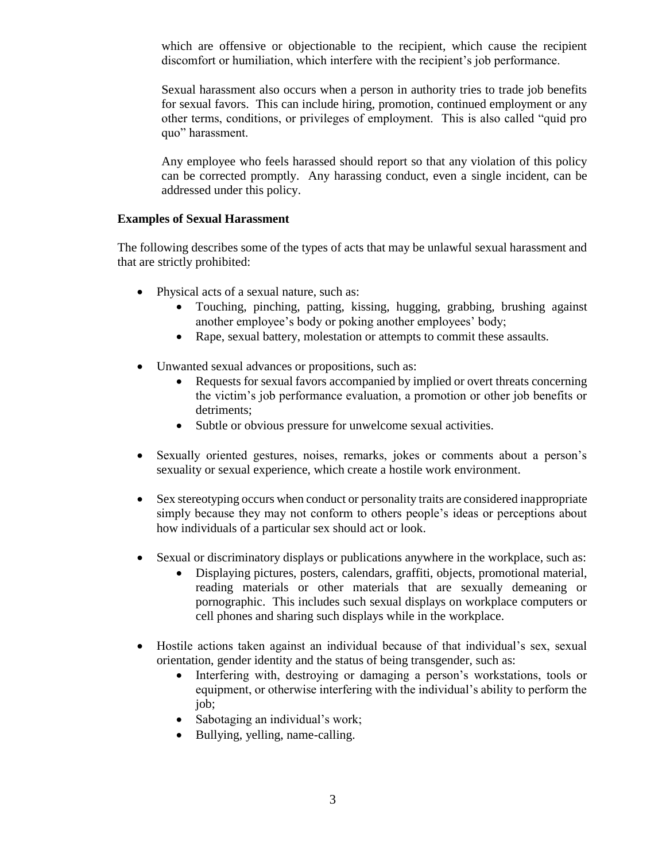which are offensive or objectionable to the recipient, which cause the recipient discomfort or humiliation, which interfere with the recipient's job performance.

Sexual harassment also occurs when a person in authority tries to trade job benefits for sexual favors. This can include hiring, promotion, continued employment or any other terms, conditions, or privileges of employment. This is also called "quid pro quo" harassment.

Any employee who feels harassed should report so that any violation of this policy can be corrected promptly. Any harassing conduct, even a single incident, can be addressed under this policy.

#### **Examples of Sexual Harassment**

The following describes some of the types of acts that may be unlawful sexual harassment and that are strictly prohibited:

- Physical acts of a sexual nature, such as:
	- Touching, pinching, patting, kissing, hugging, grabbing, brushing against another employee's body or poking another employees' body;
	- Rape, sexual battery, molestation or attempts to commit these assaults.
- Unwanted sexual advances or propositions, such as:
	- Requests for sexual favors accompanied by implied or overt threats concerning the victim's job performance evaluation, a promotion or other job benefits or detriments;
	- Subtle or obvious pressure for unwelcome sexual activities.
- Sexually oriented gestures, noises, remarks, jokes or comments about a person's sexuality or sexual experience, which create a hostile work environment.
- Sex stereotyping occurs when conduct or personality traits are considered inappropriate simply because they may not conform to others people's ideas or perceptions about how individuals of a particular sex should act or look.
- Sexual or discriminatory displays or publications anywhere in the workplace, such as:
	- Displaying pictures, posters, calendars, graffiti, objects, promotional material, reading materials or other materials that are sexually demeaning or pornographic. This includes such sexual displays on workplace computers or cell phones and sharing such displays while in the workplace.
- Hostile actions taken against an individual because of that individual's sex, sexual orientation, gender identity and the status of being transgender, such as:
	- Interfering with, destroying or damaging a person's workstations, tools or equipment, or otherwise interfering with the individual's ability to perform the job;
	- Sabotaging an individual's work;
	- Bullying, yelling, name-calling.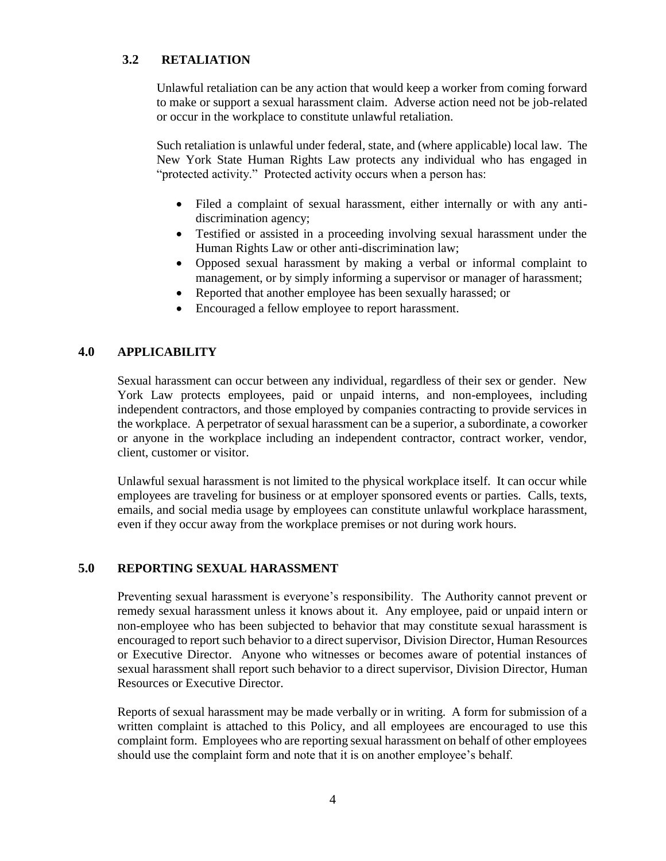# **3.2 RETALIATION**

Unlawful retaliation can be any action that would keep a worker from coming forward to make or support a sexual harassment claim. Adverse action need not be job-related or occur in the workplace to constitute unlawful retaliation.

Such retaliation is unlawful under federal, state, and (where applicable) local law. The New York State Human Rights Law protects any individual who has engaged in "protected activity." Protected activity occurs when a person has:

- Filed a complaint of sexual harassment, either internally or with any antidiscrimination agency;
- Testified or assisted in a proceeding involving sexual harassment under the Human Rights Law or other anti-discrimination law;
- Opposed sexual harassment by making a verbal or informal complaint to management, or by simply informing a supervisor or manager of harassment;
- Reported that another employee has been sexually harassed; or
- Encouraged a fellow employee to report harassment.

### **4.0 APPLICABILITY**

Sexual harassment can occur between any individual, regardless of their sex or gender. New York Law protects employees, paid or unpaid interns, and non-employees, including independent contractors, and those employed by companies contracting to provide services in the workplace. A perpetrator of sexual harassment can be a superior, a subordinate, a coworker or anyone in the workplace including an independent contractor, contract worker, vendor, client, customer or visitor.

Unlawful sexual harassment is not limited to the physical workplace itself. It can occur while employees are traveling for business or at employer sponsored events or parties. Calls, texts, emails, and social media usage by employees can constitute unlawful workplace harassment, even if they occur away from the workplace premises or not during work hours.

## **5.0 REPORTING SEXUAL HARASSMENT**

Preventing sexual harassment is everyone's responsibility. The Authority cannot prevent or remedy sexual harassment unless it knows about it. Any employee, paid or unpaid intern or non-employee who has been subjected to behavior that may constitute sexual harassment is encouraged to report such behavior to a direct supervisor, Division Director, Human Resources or Executive Director. Anyone who witnesses or becomes aware of potential instances of sexual harassment shall report such behavior to a direct supervisor, Division Director, Human Resources or Executive Director.

Reports of sexual harassment may be made verbally or in writing. A form for submission of a written complaint is attached to this Policy, and all employees are encouraged to use this complaint form. Employees who are reporting sexual harassment on behalf of other employees should use the complaint form and note that it is on another employee's behalf.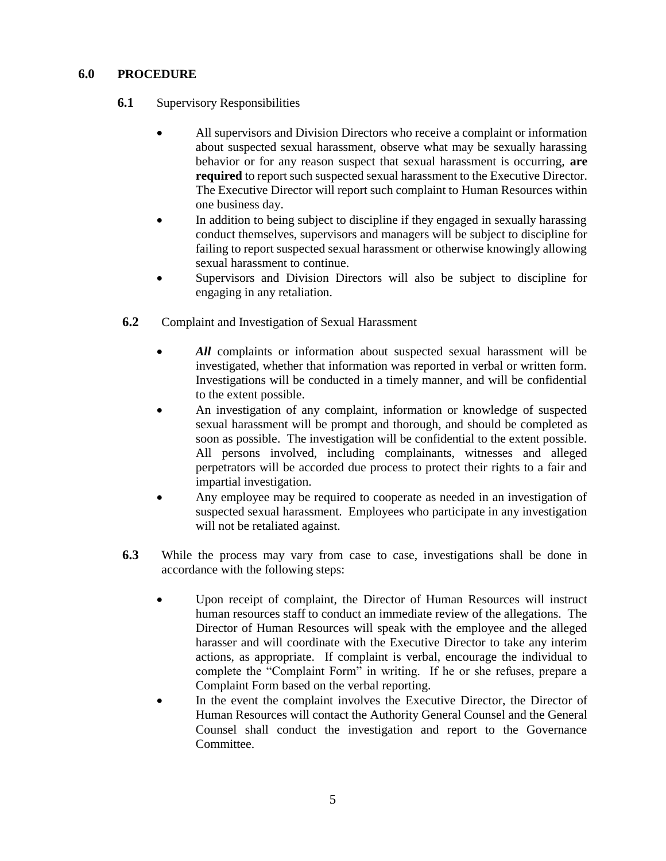# **6.0 PROCEDURE**

- **6.1** Supervisory Responsibilities
	- All supervisors and Division Directors who receive a complaint or information about suspected sexual harassment, observe what may be sexually harassing behavior or for any reason suspect that sexual harassment is occurring, **are required** to report such suspected sexual harassment to the Executive Director. The Executive Director will report such complaint to Human Resources within one business day.
	- In addition to being subject to discipline if they engaged in sexually harassing conduct themselves, supervisors and managers will be subject to discipline for failing to report suspected sexual harassment or otherwise knowingly allowing sexual harassment to continue.
	- Supervisors and Division Directors will also be subject to discipline for engaging in any retaliation.
- **6.2** Complaint and Investigation of Sexual Harassment
	- *All* complaints or information about suspected sexual harassment will be investigated, whether that information was reported in verbal or written form. Investigations will be conducted in a timely manner, and will be confidential to the extent possible.
	- An investigation of any complaint, information or knowledge of suspected sexual harassment will be prompt and thorough, and should be completed as soon as possible. The investigation will be confidential to the extent possible. All persons involved, including complainants, witnesses and alleged perpetrators will be accorded due process to protect their rights to a fair and impartial investigation.
	- Any employee may be required to cooperate as needed in an investigation of suspected sexual harassment. Employees who participate in any investigation will not be retaliated against.
- **6.3** While the process may vary from case to case, investigations shall be done in accordance with the following steps:
	- Upon receipt of complaint, the Director of Human Resources will instruct human resources staff to conduct an immediate review of the allegations. The Director of Human Resources will speak with the employee and the alleged harasser and will coordinate with the Executive Director to take any interim actions, as appropriate. If complaint is verbal, encourage the individual to complete the "Complaint Form" in writing. If he or she refuses, prepare a Complaint Form based on the verbal reporting.
	- In the event the complaint involves the Executive Director, the Director of Human Resources will contact the Authority General Counsel and the General Counsel shall conduct the investigation and report to the Governance Committee.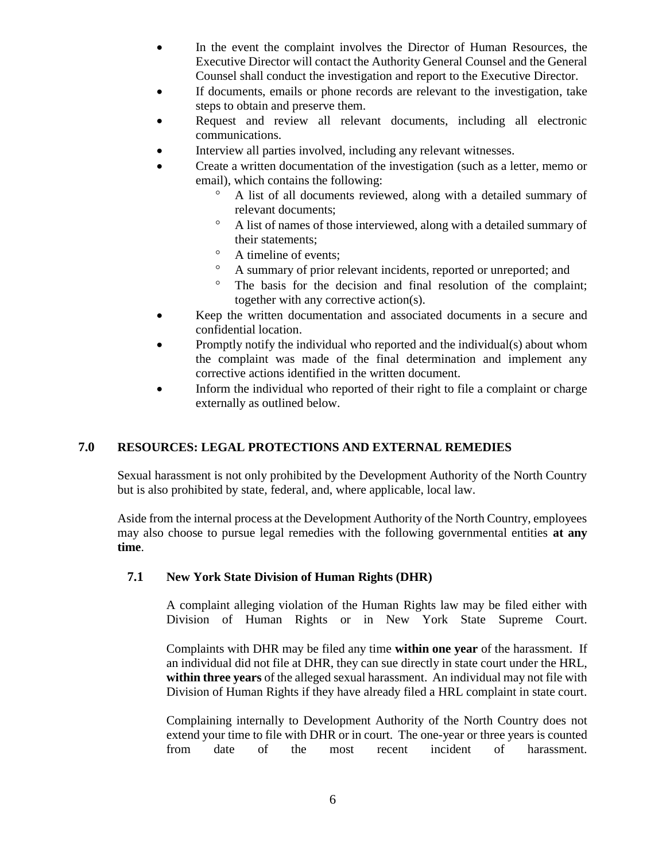- In the event the complaint involves the Director of Human Resources, the Executive Director will contact the Authority General Counsel and the General Counsel shall conduct the investigation and report to the Executive Director.
- If documents, emails or phone records are relevant to the investigation, take steps to obtain and preserve them.
- Request and review all relevant documents, including all electronic communications.
- Interview all parties involved, including any relevant witnesses.
- Create a written documentation of the investigation (such as a letter, memo or email), which contains the following:
	- A list of all documents reviewed, along with a detailed summary of relevant documents;
	- A list of names of those interviewed, along with a detailed summary of their statements;
	- A timeline of events;
	- A summary of prior relevant incidents, reported or unreported; and
	- <sup>o</sup> The basis for the decision and final resolution of the complaint; together with any corrective action(s).
- Keep the written documentation and associated documents in a secure and confidential location.
- Promptly notify the individual who reported and the individual(s) about whom the complaint was made of the final determination and implement any corrective actions identified in the written document.
- Inform the individual who reported of their right to file a complaint or charge externally as outlined below.

## **7.0 RESOURCES: LEGAL PROTECTIONS AND EXTERNAL REMEDIES**

Sexual harassment is not only prohibited by the Development Authority of the North Country but is also prohibited by state, federal, and, where applicable, local law.

Aside from the internal process at the Development Authority of the North Country, employees may also choose to pursue legal remedies with the following governmental entities **at any time**.

## **7.1 New York State Division of Human Rights (DHR)**

A complaint alleging violation of the Human Rights law may be filed either with Division of Human Rights or in New York State Supreme Court.

Complaints with DHR may be filed any time **within one year** of the harassment. If an individual did not file at DHR, they can sue directly in state court under the HRL, **within three years** of the alleged sexual harassment. An individual may not file with Division of Human Rights if they have already filed a HRL complaint in state court.

Complaining internally to Development Authority of the North Country does not extend your time to file with DHR or in court. The one-year or three years is counted from date of the most recent incident of harassment.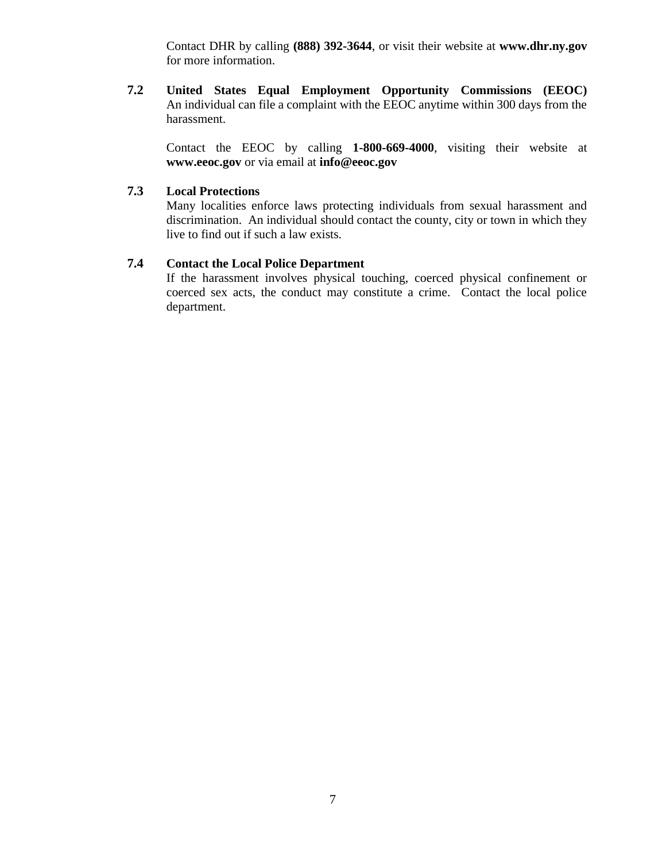Contact DHR by calling **(888) 392-3644**, or visit their website at **www.dhr.ny.gov** for more information.

**7.2 United States Equal Employment Opportunity Commissions (EEOC)** An individual can file a complaint with the EEOC anytime within 300 days from the harassment.

Contact the EEOC by calling **1-800-669-4000**, visiting their website at **www.eeoc.gov** or via email at **info@eeoc.gov**

### **7.3 Local Protections**

Many localities enforce laws protecting individuals from sexual harassment and discrimination. An individual should contact the county, city or town in which they live to find out if such a law exists.

# **7.4 Contact the Local Police Department**

If the harassment involves physical touching, coerced physical confinement or coerced sex acts, the conduct may constitute a crime. Contact the local police department.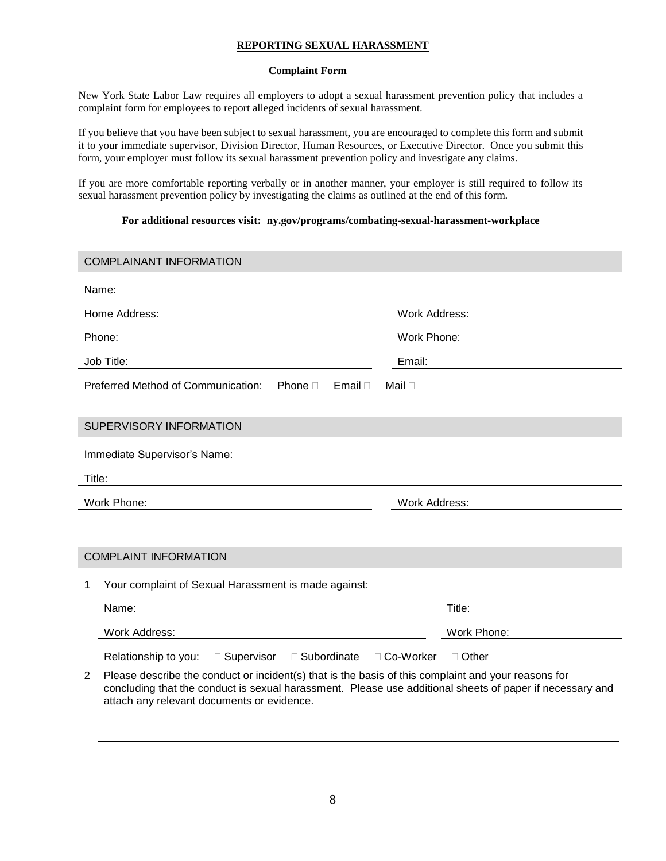#### **REPORTING SEXUAL HARASSMENT**

#### **Complaint Form**

New York State Labor Law requires all employers to adopt a sexual harassment prevention policy that includes a complaint form for employees to report alleged incidents of sexual harassment.

If you believe that you have been subject to sexual harassment, you are encouraged to complete this form and submit it to your immediate supervisor, Division Director, Human Resources, or Executive Director. Once you submit this form, your employer must follow its sexual harassment prevention policy and investigate any claims.

If you are more comfortable reporting verbally or in another manner, your employer is still required to follow its sexual harassment prevention policy by investigating the claims as outlined at the end of this form.

#### **For additional resources visit: ny.gov/programs/combating-sexual-harassment-workplace**

| <b>COMPLAINANT INFORMATION</b>                                                                                                                                                                                                                                                  |                             |  |  |
|---------------------------------------------------------------------------------------------------------------------------------------------------------------------------------------------------------------------------------------------------------------------------------|-----------------------------|--|--|
| Name:                                                                                                                                                                                                                                                                           |                             |  |  |
| Home Address:                                                                                                                                                                                                                                                                   | <b>Work Address:</b>        |  |  |
| Phone:                                                                                                                                                                                                                                                                          | Work Phone:                 |  |  |
| Job Title:                                                                                                                                                                                                                                                                      | Email:                      |  |  |
| Preferred Method of Communication:<br>Email $\Box$<br>Phone $\Box$                                                                                                                                                                                                              | Mail D                      |  |  |
| SUPERVISORY INFORMATION                                                                                                                                                                                                                                                         |                             |  |  |
| Immediate Supervisor's Name:                                                                                                                                                                                                                                                    |                             |  |  |
| Title:                                                                                                                                                                                                                                                                          |                             |  |  |
| Work Phone:<br>Work Address:                                                                                                                                                                                                                                                    |                             |  |  |
|                                                                                                                                                                                                                                                                                 |                             |  |  |
| <b>COMPLAINT INFORMATION</b>                                                                                                                                                                                                                                                    |                             |  |  |
| Your complaint of Sexual Harassment is made against:<br>1                                                                                                                                                                                                                       |                             |  |  |
| Name:                                                                                                                                                                                                                                                                           | Title:                      |  |  |
| Work Address:                                                                                                                                                                                                                                                                   | Work Phone:                 |  |  |
| □ Subordinate<br>$\Box$ Supervisor<br>Relationship to you:                                                                                                                                                                                                                      | □ Co-Worker<br>$\Box$ Other |  |  |
| $\overline{2}$<br>Please describe the conduct or incident(s) that is the basis of this complaint and your reasons for<br>concluding that the conduct is sexual harassment. Please use additional sheets of paper if necessary and<br>attach any relevant documents or evidence. |                             |  |  |
|                                                                                                                                                                                                                                                                                 |                             |  |  |